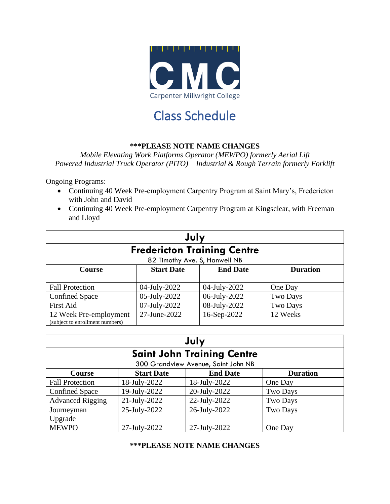

# Class Schedule

#### **\*\*\*PLEASE NOTE NAME CHANGES**

*Mobile Elevating Work Platforms Operator (MEWPO) formerly Aerial Lift Powered Industrial Truck Operator (PITO) – Industrial & Rough Terrain formerly Forklift*

Ongoing Programs:

- Continuing 40 Week Pre-employment Carpentry Program at Saint Mary's, Fredericton with John and David
- Continuing 40 Week Pre-employment Carpentry Program at Kingsclear, with Freeman and Lloyd

| July                                                      |                   |                               |                 |  |  |
|-----------------------------------------------------------|-------------------|-------------------------------|-----------------|--|--|
| <b>Fredericton Training Centre</b>                        |                   |                               |                 |  |  |
|                                                           |                   | 82 Timothy Ave. S, Hanwell NB |                 |  |  |
| <b>Course</b>                                             | <b>Start Date</b> | <b>End Date</b>               | <b>Duration</b> |  |  |
|                                                           |                   |                               |                 |  |  |
| <b>Fall Protection</b>                                    | 04-July-2022      | 04-July-2022                  | One Day         |  |  |
| <b>Confined Space</b>                                     | 05-July-2022      | 06-July-2022                  | Two Days        |  |  |
| <b>First Aid</b>                                          | 07-July-2022      | 08-July-2022                  | Two Days        |  |  |
| 12 Week Pre-employment<br>(subject to enrollment numbers) | 27-June-2022      | 16-Sep-2022                   | 12 Weeks        |  |  |

| July                              |                   |                                     |                 |  |  |
|-----------------------------------|-------------------|-------------------------------------|-----------------|--|--|
| <b>Saint John Training Centre</b> |                   |                                     |                 |  |  |
|                                   |                   | 300 Grandview Avenue, Saint John NB |                 |  |  |
| <b>Course</b>                     | <b>Start Date</b> | <b>End Date</b>                     | <b>Duration</b> |  |  |
| <b>Fall Protection</b>            | 18-July-2022      | 18-July-2022                        | One Day         |  |  |
| <b>Confined Space</b>             | 19-July-2022      | 20-July-2022                        | Two Days        |  |  |
| <b>Advanced Rigging</b>           | 21-July-2022      | 22-July-2022                        | Two Days        |  |  |
| Journeyman                        | 25-July-2022      | 26-July-2022                        | Two Days        |  |  |
| Upgrade                           |                   |                                     |                 |  |  |
| <b>MEWPO</b>                      | 27-July-2022      | 27-July-2022                        | One Day         |  |  |

#### **\*\*\*PLEASE NOTE NAME CHANGES**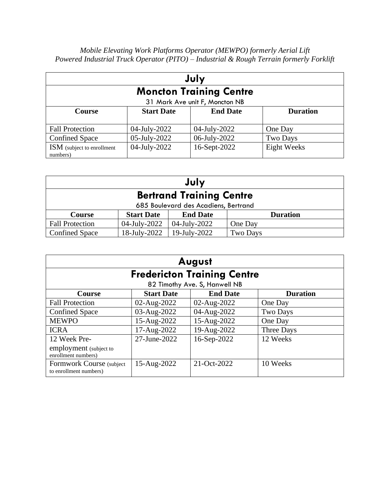| July                                                              |              |              |             |  |  |
|-------------------------------------------------------------------|--------------|--------------|-------------|--|--|
| <b>Moncton Training Centre</b><br>31 Mark Ave unit F, Moncton NB  |              |              |             |  |  |
| <b>End Date</b><br><b>Start Date</b><br><b>Duration</b><br>Course |              |              |             |  |  |
| <b>Fall Protection</b>                                            | 04-July-2022 | 04-July-2022 | One Day     |  |  |
| <b>Confined Space</b>                                             | 05-July-2022 | 06-July-2022 | Two Days    |  |  |
| <b>ISM</b> (subject to enrollment<br>numbers)                     | 04-July-2022 | 16-Sept-2022 | Eight Weeks |  |  |

| July                                                              |                                      |              |                 |  |  |
|-------------------------------------------------------------------|--------------------------------------|--------------|-----------------|--|--|
| <b>Bertrand Training Centre</b>                                   |                                      |              |                 |  |  |
|                                                                   | 685 Boulevard des Acadiens, Bertrand |              |                 |  |  |
| <b>End Date</b><br><b>Start Date</b><br><b>Duration</b><br>Course |                                      |              |                 |  |  |
| <b>Fall Protection</b>                                            | 04-July-2022                         | 04-July-2022 | One Day         |  |  |
| <b>Confined Space</b>                                             | 18-July-2022                         | 19-July-2022 | <b>Two Days</b> |  |  |

| August                                              |                   |                               |                 |  |  |
|-----------------------------------------------------|-------------------|-------------------------------|-----------------|--|--|
| <b>Fredericton Training Centre</b>                  |                   |                               |                 |  |  |
|                                                     |                   | 82 Timothy Ave. S, Hanwell NB |                 |  |  |
| <b>Course</b>                                       | <b>Start Date</b> | <b>End Date</b>               | <b>Duration</b> |  |  |
| <b>Fall Protection</b>                              | 02-Aug-2022       | 02-Aug-2022                   | One Day         |  |  |
| <b>Confined Space</b>                               | 03-Aug-2022       | 04-Aug-2022                   | <b>Two Days</b> |  |  |
| <b>MEWPO</b>                                        | 15-Aug-2022       | 15-Aug-2022                   | One Day         |  |  |
| <b>ICRA</b>                                         | 17-Aug-2022       | 19-Aug-2022                   | Three Days      |  |  |
| 12 Week Pre-                                        | 27-June-2022      | 16-Sep-2022                   | 12 Weeks        |  |  |
| employment (subject to<br>enrollment numbers)       |                   |                               |                 |  |  |
| Formwork Course (subject)<br>to enrollment numbers) | 15-Aug-2022       | 21-Oct-2022                   | 10 Weeks        |  |  |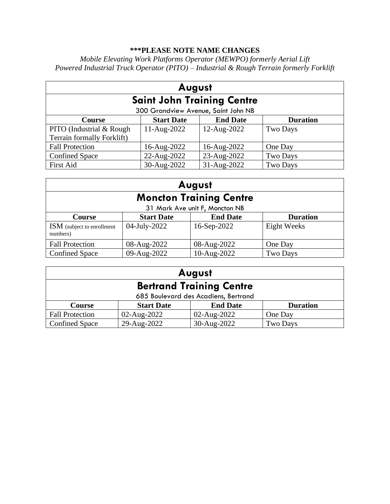## **\*\*\*PLEASE NOTE NAME CHANGES**

| August                            |                                     |                 |                 |  |  |
|-----------------------------------|-------------------------------------|-----------------|-----------------|--|--|
| <b>Saint John Training Centre</b> |                                     |                 |                 |  |  |
|                                   | 300 Grandview Avenue, Saint John NB |                 |                 |  |  |
| <b>Course</b>                     | <b>Start Date</b>                   | <b>End Date</b> | <b>Duration</b> |  |  |
| PITO (Industrial & Rough)         | $11-Aug-2022$                       | 12-Aug-2022     | Two Days        |  |  |
| Terrain formally Forklift)        |                                     |                 |                 |  |  |
| <b>Fall Protection</b>            | 16-Aug-2022                         | 16-Aug-2022     | One Day         |  |  |
| <b>Confined Space</b>             | 22-Aug-2022                         | 23-Aug-2022     | Two Days        |  |  |
| <b>First Aid</b>                  | 30-Aug-2022                         | 31-Aug-2022     | Two Days        |  |  |

| August                                                                   |              |                                |             |  |
|--------------------------------------------------------------------------|--------------|--------------------------------|-------------|--|
| <b>Moncton Training Centre</b>                                           |              |                                |             |  |
|                                                                          |              | 31 Mark Ave unit F, Moncton NB |             |  |
| <b>Start Date</b><br><b>End Date</b><br><b>Duration</b><br><b>Course</b> |              |                                |             |  |
| <b>ISM</b> (subject to enrollment<br>numbers)                            | 04-July-2022 | 16-Sep-2022                    | Eight Weeks |  |
| <b>Fall Protection</b>                                                   | 08-Aug-2022  | 08-Aug-2022                    | One Day     |  |
| <b>Confined Space</b>                                                    | 09-Aug-2022  | 10-Aug-2022                    | Two Days    |  |

| August                          |                                                         |             |          |  |  |
|---------------------------------|---------------------------------------------------------|-------------|----------|--|--|
| <b>Bertrand Training Centre</b> |                                                         |             |          |  |  |
|                                 | 685 Boulevard des Acadiens, Bertrand                    |             |          |  |  |
| Course                          | <b>Start Date</b><br><b>End Date</b><br><b>Duration</b> |             |          |  |  |
| <b>Fall Protection</b>          | 02-Aug-2022                                             | 02-Aug-2022 | One Day  |  |  |
| <b>Confined Space</b>           | 29-Aug-2022                                             | 30-Aug-2022 | Two Days |  |  |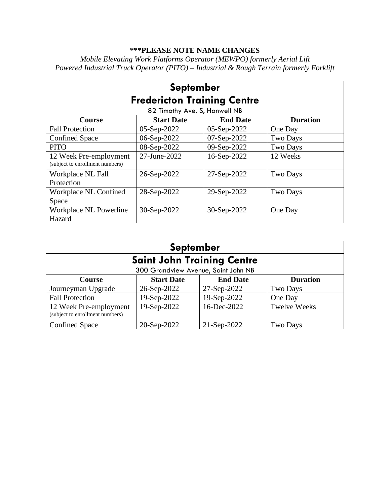## **\*\*\*PLEASE NOTE NAME CHANGES**

| <b>September</b>                                          |                               |                 |                 |  |  |  |
|-----------------------------------------------------------|-------------------------------|-----------------|-----------------|--|--|--|
| <b>Fredericton Training Centre</b>                        |                               |                 |                 |  |  |  |
|                                                           | 82 Timothy Ave. S, Hanwell NB |                 |                 |  |  |  |
| Course                                                    | <b>Start Date</b>             | <b>End Date</b> | <b>Duration</b> |  |  |  |
| <b>Fall Protection</b>                                    | 05-Sep-2022                   | 05-Sep-2022     | One Day         |  |  |  |
| <b>Confined Space</b>                                     | 06-Sep-2022                   | 07-Sep-2022     | Two Days        |  |  |  |
| <b>PITO</b>                                               | 08-Sep-2022                   | 09-Sep-2022     | Two Days        |  |  |  |
| 12 Week Pre-employment<br>(subject to enrollment numbers) | 27-June-2022                  | 16-Sep-2022     | 12 Weeks        |  |  |  |
| Workplace NL Fall<br>Protection                           | 26-Sep-2022                   | 27-Sep-2022     | <b>Two Days</b> |  |  |  |
| Workplace NL Confined<br>Space                            | 28-Sep-2022                   | 29-Sep-2022     | Two Days        |  |  |  |
| Workplace NL Powerline<br>Hazard                          | 30-Sep-2022                   | 30-Sep-2022     | One Day         |  |  |  |

| <b>September</b>                                          |                                     |                 |                     |  |  |
|-----------------------------------------------------------|-------------------------------------|-----------------|---------------------|--|--|
| <b>Saint John Training Centre</b>                         |                                     |                 |                     |  |  |
|                                                           | 300 Grandview Avenue, Saint John NB |                 |                     |  |  |
| Course                                                    | <b>Start Date</b>                   | <b>End Date</b> | <b>Duration</b>     |  |  |
| Journeyman Upgrade                                        | 26-Sep-2022                         | 27-Sep-2022     | <b>Two Days</b>     |  |  |
| <b>Fall Protection</b>                                    | 19-Sep-2022                         | 19-Sep-2022     | One Day             |  |  |
| 12 Week Pre-employment<br>(subject to enrollment numbers) | 19-Sep-2022                         | 16-Dec-2022     | <b>Twelve Weeks</b> |  |  |
| <b>Confined Space</b>                                     | 20-Sep-2022                         | 21-Sep-2022     | <b>Two Days</b>     |  |  |